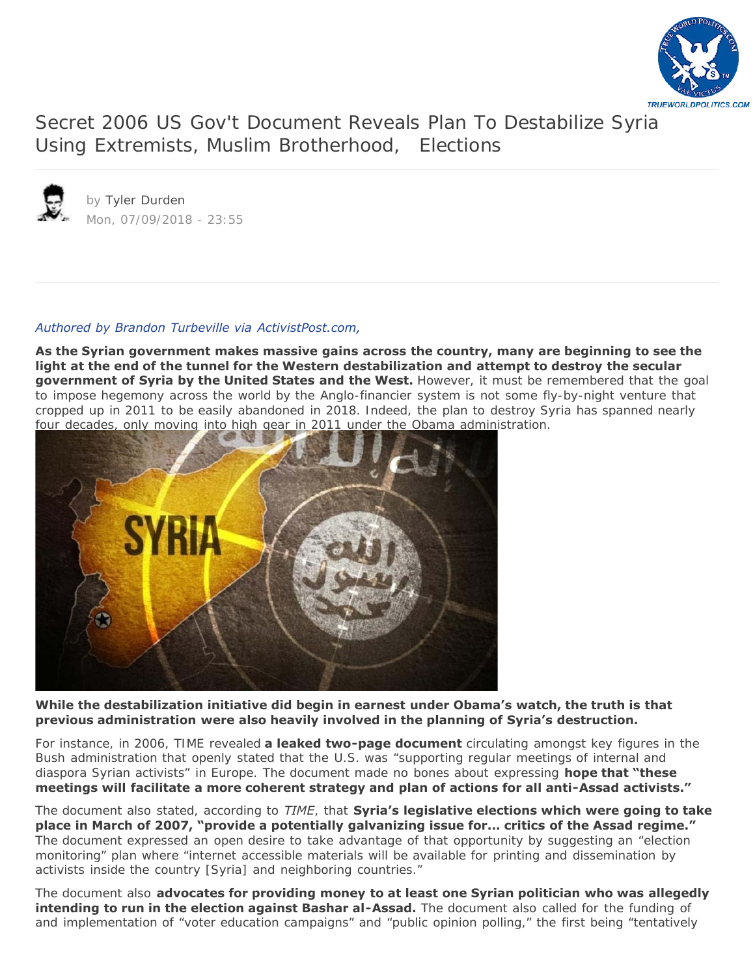

[Secret 2006 US Gov't Document Reveals Plan To Destabilize Syria](https://www.zerohedge.com/news/2018-07-09/secret-2006-us-govt-document-reveals-plan-destabilize-syria-using-extremists-muslim)  Using Extremists, Muslim Brotherhood, Elections



by [Tyler Durden](https://www.zerohedge.com/users/tyler-durden) Mon, 07/09/2018 - 23:55

# *[Authored by Brandon Turbeville via ActivistPost.com,](https://www.activistpost.com/2018/07/secret-us-2006-govt-document-reveals-plan-to-destabilize-syria-by-using-extremists-muslim-brotherhood-elections.html)*

**As the Syrian government makes massive gains across the country, many are beginning to see the light at the end of the tunnel for the Western destabilization and attempt to destroy the secular government of Syria by the United States and the West.** However, it must be remembered that the goal to impose hegemony across the world by the Anglo-financier system is not some fly-by-night venture that cropped up in 2011 to be easily abandoned in 2018. Indeed, the plan to destroy Syria has spanned nearly [four decades, only moving into high gear in 2011 under the Obama admini](https://www.zerohedge.com/sites/default/files/inline-images/syria63.jpg?itok=EvnZa9dX)stration.



**While the destabilization initiative did begin in earnest under Obama's watch, the truth is that previous administration were also heavily involved in the planning of Syria's destruction.**

For instance, in 2006, TIME revealed **a leaked two-page document** circulating amongst key figures in the Bush administration that openly stated that the U.S. was "supporting regular meetings of internal and diaspora Syrian activists" in Europe. The document made no bones about expressing **hope that "these meetings will facilitate a more coherent strategy and plan of actions for all anti-Assad activists."**

The document also stated, according to *TIME*, that **Syria's legislative elections which were going to take place in March of 2007, "provide a potentially galvanizing issue for... critics of the Assad regime."** The document expressed an open desire to take advantage of that opportunity by suggesting an "election monitoring" plan where "internet accessible materials will be available for printing and dissemination by activists inside the country [Syria] and neighboring countries."

The document also **advocates for providing money to at least one Syrian politician who was allegedly intending to run in the election against Bashar al-Assad.** The document also called for the funding of and implementation of "voter education campaigns" and "public opinion polling," the first being "tentatively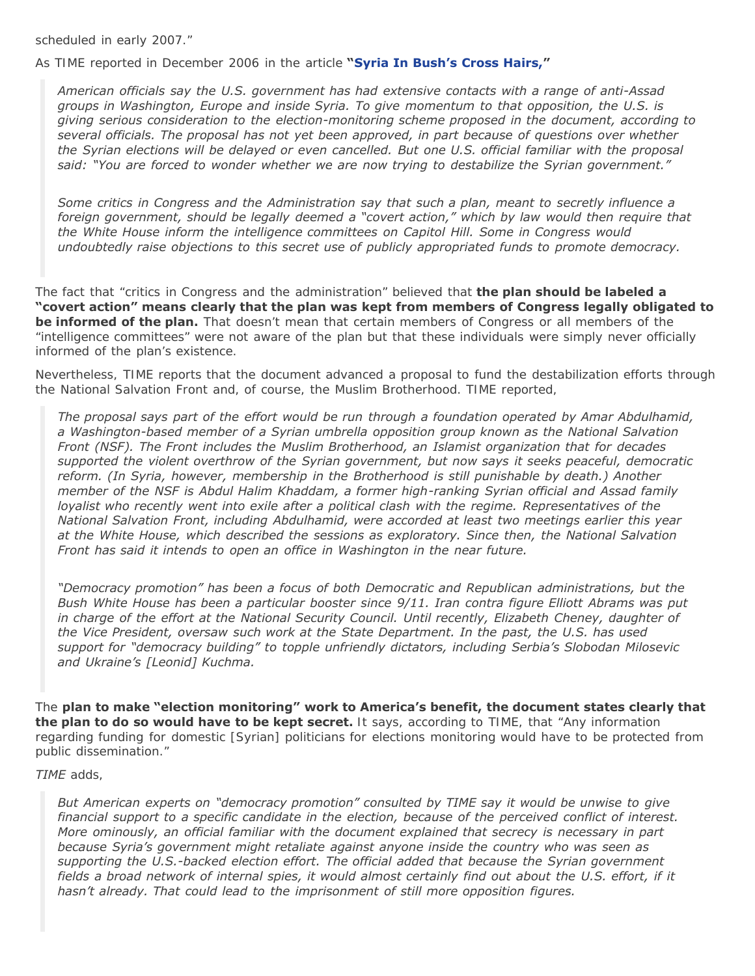scheduled in early 2007."

As TIME reported in December 2006 in the article **"[Syria In Bush's Cross Hairs,"](http://content.time.com/time/world/article/0,8599,1571751,00.html)**

*American officials say the U.S. government has had extensive contacts with a range of anti-Assad groups in Washington, Europe and inside Syria. To give momentum to that opposition, the U.S. is giving serious consideration to the election-monitoring scheme proposed in the document, according to several officials. The proposal has not yet been approved, in part because of questions over whether the Syrian elections will be delayed or even cancelled. But one U.S. official familiar with the proposal said: "You are forced to wonder whether we are now trying to destabilize the Syrian government."*

*Some critics in Congress and the Administration say that such a plan, meant to secretly influence a foreign government, should be legally deemed a "covert action," which by law would then require that the White House inform the intelligence committees on Capitol Hill. Some in Congress would undoubtedly raise objections to this secret use of publicly appropriated funds to promote democracy.*

The fact that "critics in Congress and the administration" believed that **the plan should be labeled a "covert action" means clearly that the plan was kept from members of Congress legally obligated to be informed of the plan.** That doesn't mean that certain members of Congress or all members of the "intelligence committees" were not aware of the plan but that these individuals were simply never officially informed of the plan's existence.

Nevertheless, TIME reports that the document advanced a proposal to fund the destabilization efforts through the National Salvation Front and, of course, the Muslim Brotherhood. TIME reported,

*The proposal says part of the effort would be run through a foundation operated by Amar Abdulhamid, a Washington-based member of a Syrian umbrella opposition group known as the National Salvation Front (NSF). The Front includes the Muslim Brotherhood, an Islamist organization that for decades supported the violent overthrow of the Syrian government, but now says it seeks peaceful, democratic reform. (In Syria, however, membership in the Brotherhood is still punishable by death.) Another member of the NSF is Abdul Halim Khaddam, a former high-ranking Syrian official and Assad family loyalist who recently went into exile after a political clash with the regime. Representatives of the National Salvation Front, including Abdulhamid, were accorded at least two meetings earlier this year at the White House, which described the sessions as exploratory. Since then, the National Salvation Front has said it intends to open an office in Washington in the near future.*

*"Democracy promotion" has been a focus of both Democratic and Republican administrations, but the Bush White House has been a particular booster since 9/11. Iran contra figure Elliott Abrams was put in charge of the effort at the National Security Council. Until recently, Elizabeth Cheney, daughter of the Vice President, oversaw such work at the State Department. In the past, the U.S. has used support for "democracy building" to topple unfriendly dictators, including Serbia's Slobodan Milosevic and Ukraine's [Leonid] Kuchma.*

The **plan to make "election monitoring" work to America's benefit, the document states clearly that the plan to do so would have to be kept secret.** It says, according to TIME, that "Any information regarding funding for domestic [Syrian] politicians for elections monitoring would have to be protected from public dissemination."

#### *TIME* adds,

*But American experts on "democracy promotion" consulted by TIME say it would be unwise to give financial support to a specific candidate in the election, because of the perceived conflict of interest. More ominously, an official familiar with the document explained that secrecy is necessary in part because Syria's government might retaliate against anyone inside the country who was seen as supporting the U.S.-backed election effort. The official added that because the Syrian government fields a broad network of internal spies, it would almost certainly find out about the U.S. effort, if it hasn't already. That could lead to the imprisonment of still more opposition figures.*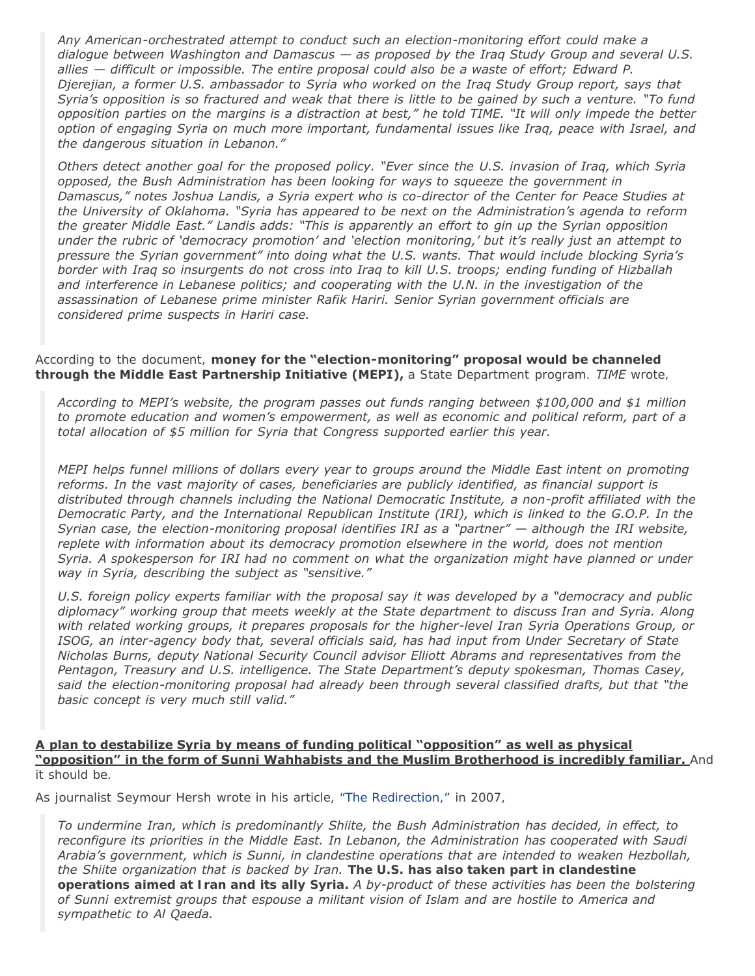*Any American-orchestrated attempt to conduct such an election-monitoring effort could make a dialogue between Washington and Damascus — as proposed by the Iraq Study Group and several U.S. allies — difficult or impossible. The entire proposal could also be a waste of effort; Edward P. Djerejian, a former U.S. ambassador to Syria who worked on the Iraq Study Group report, says that Syria's opposition is so fractured and weak that there is little to be gained by such a venture. "To fund opposition parties on the margins is a distraction at best," he told TIME. "It will only impede the better option of engaging Syria on much more important, fundamental issues like Iraq, peace with Israel, and the dangerous situation in Lebanon."*

*Others detect another goal for the proposed policy. "Ever since the U.S. invasion of Iraq, which Syria opposed, the Bush Administration has been looking for ways to squeeze the government in Damascus," notes Joshua Landis, a Syria expert who is co-director of the Center for Peace Studies at the University of Oklahoma. "Syria has appeared to be next on the Administration's agenda to reform the greater Middle East." Landis adds: "This is apparently an effort to gin up the Syrian opposition under the rubric of 'democracy promotion' and 'election monitoring,' but it's really just an attempt to pressure the Syrian government" into doing what the U.S. wants. That would include blocking Syria's border with Iraq so insurgents do not cross into Iraq to kill U.S. troops; ending funding of Hizballah and interference in Lebanese politics; and cooperating with the U.N. in the investigation of the assassination of Lebanese prime minister Rafik Hariri. Senior Syrian government officials are considered prime suspects in Hariri case.*

#### According to the document, **money for the "election-monitoring" proposal would be channeled through the Middle East Partnership Initiative (MEPI),** a State Department program. *TIME* wrote,

*According to MEPI's website, the program passes out funds ranging between \$100,000 and \$1 million to promote education and women's empowerment, as well as economic and political reform, part of a total allocation of \$5 million for Syria that Congress supported earlier this year.*

*MEPI helps funnel millions of dollars every year to groups around the Middle East intent on promoting reforms. In the vast majority of cases, beneficiaries are publicly identified, as financial support is distributed through channels including the National Democratic Institute, a non-profit affiliated with the Democratic Party, and the International Republican Institute (IRI), which is linked to the G.O.P. In the Syrian case, the election-monitoring proposal identifies IRI as a "partner" — although the IRI website, replete with information about its democracy promotion elsewhere in the world, does not mention Syria. A spokesperson for IRI had no comment on what the organization might have planned or under way in Syria, describing the subject as "sensitive."*

*U.S. foreign policy experts familiar with the proposal say it was developed by a "democracy and public diplomacy" working group that meets weekly at the State department to discuss Iran and Syria. Along with related working groups, it prepares proposals for the higher-level Iran Syria Operations Group, or ISOG, an inter-agency body that, several officials said, has had input from Under Secretary of State Nicholas Burns, deputy National Security Council advisor Elliott Abrams and representatives from the Pentagon, Treasury and U.S. intelligence. The State Department's deputy spokesman, Thomas Casey, said the election-monitoring proposal had already been through several classified drafts, but that "the basic concept is very much still valid."*

### **A plan to destabilize Syria by means of funding political "opposition" as well as physical "opposition" in the form of Sunni Wahhabists and the Muslim Brotherhood is incredibly familiar.** And it should be.

As journalist Seymour Hersh wrote in his article, "[The Redirection,"](http://www.newyorker.com/magazine/2007/03/05/the-redirection) in 2007,

*To undermine Iran, which is predominantly Shiite, the Bush Administration has decided, in effect, to reconfigure its priorities in the Middle East. In Lebanon, the Administration has cooperated with Saudi Arabia's government, which is Sunni, in clandestine operations that are intended to weaken Hezbollah, the Shiite organization that is backed by Iran. The U.S. has also taken part in clandestine operations aimed at Iran and its ally Syria. A by-product of these activities has been the bolstering of Sunni extremist groups that espouse a militant vision of Islam and are hostile to America and sympathetic to Al Qaeda.*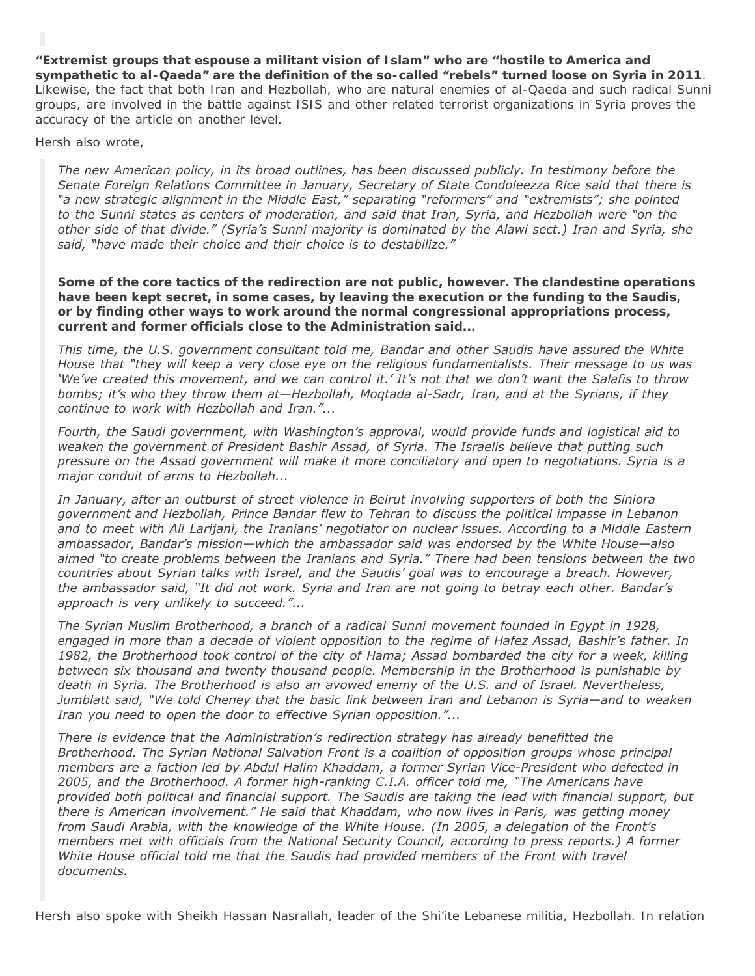## *"Extremist groups that espouse a militant vision of Islam" who are "hostile to America and*

*sympathetic to al-Qaeda" are the definition of the so-called "rebels" turned loose on Syria in 2011*. Likewise, the fact that both Iran and Hezbollah, who are natural enemies of al-Qaeda and such radical Sunni groups, are involved in the battle against ISIS and other related terrorist organizations in Syria proves the accuracy of the article on another level.

Hersh also wrote,

*The new American policy, in its broad outlines, has been discussed publicly. In testimony before the Senate Foreign Relations Committee in January, Secretary of State Condoleezza Rice said that there is "a new strategic alignment in the Middle East," separating "reformers" and "extremists"; she pointed to the Sunni states as centers of moderation, and said that Iran, Syria, and Hezbollah were "on the other side of that divide." (Syria's Sunni majority is dominated by the Alawi sect.) Iran and Syria, she said, "have made their choice and their choice is to destabilize."*

*Some of the core tactics of the redirection are not public, however. The clandestine operations have been kept secret, in some cases, by leaving the execution or the funding to the Saudis, or by finding other ways to work around the normal congressional appropriations process, current and former officials close to the Administration said...*

*This time, the U.S. government consultant told me, Bandar and other Saudis have assured the White House that "they will keep a very close eye on the religious fundamentalists. Their message to us was 'We've created this movement, and we can control it.' It's not that we don't want the Salafis to throw bombs; it's who they throw them at—Hezbollah, Moqtada al-Sadr, Iran, and at the Syrians, if they continue to work with Hezbollah and Iran."...*

*Fourth, the Saudi government, with Washington's approval, would provide funds and logistical aid to weaken the government of President Bashir Assad, of Syria. The Israelis believe that putting such pressure on the Assad government will make it more conciliatory and open to negotiations. Syria is a major conduit of arms to Hezbollah...*

*In January, after an outburst of street violence in Beirut involving supporters of both the Siniora government and Hezbollah, Prince Bandar flew to Tehran to discuss the political impasse in Lebanon and to meet with Ali Larijani, the Iranians' negotiator on nuclear issues. According to a Middle Eastern ambassador, Bandar's mission—which the ambassador said was endorsed by the White House—also aimed "to create problems between the Iranians and Syria." There had been tensions between the two countries about Syrian talks with Israel, and the Saudis' goal was to encourage a breach. However, the ambassador said, "It did not work. Syria and Iran are not going to betray each other. Bandar's approach is very unlikely to succeed."...*

*The Syrian Muslim Brotherhood, a branch of a radical Sunni movement founded in Egypt in 1928, engaged in more than a decade of violent opposition to the regime of Hafez Assad, Bashir's father. In 1982, the Brotherhood took control of the city of Hama; Assad bombarded the city for a week, killing between six thousand and twenty thousand people. Membership in the Brotherhood is punishable by death in Syria. The Brotherhood is also an avowed enemy of the U.S. and of Israel. Nevertheless, Jumblatt said, "We told Cheney that the basic link between Iran and Lebanon is Syria—and to weaken Iran you need to open the door to effective Syrian opposition."...*

*There is evidence that the Administration's redirection strategy has already benefitted the Brotherhood. The Syrian National Salvation Front is a coalition of opposition groups whose principal members are a faction led by Abdul Halim Khaddam, a former Syrian Vice-President who defected in 2005, and the Brotherhood. A former high-ranking C.I.A. officer told me, "The Americans have provided both political and financial support. The Saudis are taking the lead with financial support, but there is American involvement." He said that Khaddam, who now lives in Paris, was getting money from Saudi Arabia, with the knowledge of the White House. (In 2005, a delegation of the Front's members met with officials from the National Security Council, according to press reports.) A former White House official told me that the Saudis had provided members of the Front with travel documents.*

Hersh also spoke with Sheikh Hassan Nasrallah, leader of the Shi'ite Lebanese militia, Hezbollah. In relation